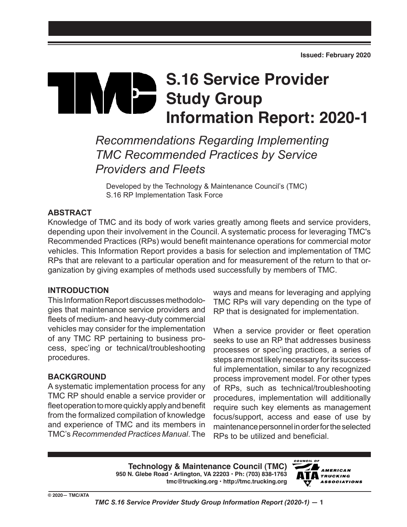# **S.16 Service Provider THE REA Study Group Information Report: 2020-1**

*Recommendations Regarding Implementing TMC Recommended Practices by Service Providers and Fleets*

Developed by the Technology & Maintenance Council's (TMC) S.16 RP Implementation Task Force

# **ABSTRACT**

Knowledge of TMC and its body of work varies greatly among fleets and service providers, depending upon their involvement in the Council. A systematic process for leveraging TMC's Recommended Practices (RPs) would benefit maintenance operations for commercial motor vehicles. This Information Report provides a basis for selection and implementation of TMC RPs that are relevant to a particular operation and for measurement of the return to that organization by giving examples of methods used successfully by members of TMC.

# **INTRODUCTION**

This Information Report discusses methodologies that maintenance service providers and fleets of medium- and heavy-duty commercial vehicles may consider for the implementation of any TMC RP pertaining to business process, spec'ing or technical/troubleshooting procedures.

# **BACKGROUND**

A systematic implementation process for any TMC RP should enable a service provider or fleet operation to more quickly apply and benefit from the formalized compilation of knowledge and experience of TMC and its members in TMC's *Recommended Practices Manual*. The ways and means for leveraging and applying TMC RPs will vary depending on the type of RP that is designated for implementation.

When a service provider or fleet operation seeks to use an RP that addresses business processes or spec'ing practices, a series of steps are most likely necessary for its successful implementation, similar to any recognized process improvement model. For other types of RPs, such as technical/troubleshooting procedures, implementation will additionally require such key elements as management focus/support, access and ease of use by maintenance personnel in order for the selected RPs to be utilized and beneficial.

**Technology & Maintenance Council (TMC) 950 N. Glebe Road • Arlington, VA 22203 • Ph: (703) 838-1763 tmc@trucking.org • http://tmc.trucking.org**

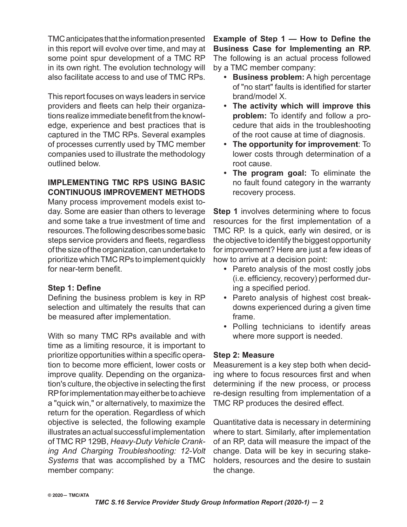TMC anticipates that the information presented in this report will evolve over time, and may at some point spur development of a TMC RP in its own right. The evolution technology will also facilitate access to and use of TMC RPs.

This report focuses on ways leaders in service providers and fleets can help their organizations realize immediate benefit from the knowledge, experience and best practices that is captured in the TMC RPs. Several examples of processes currently used by TMC member companies used to illustrate the methodology outlined below.

## **IMPLEMENTING TMC RPS USING BASIC CONTINUOUS IMPROVEMENT METHODS**

Many process improvement models exist today. Some are easier than others to leverage and some take a true investment of time and resources. The following describes some basic steps service providers and fleets, regardless of the size of the organization, can undertake to prioritize which TMC RPs to implement quickly for near-term benefit.

# **Step 1: Define**

Defining the business problem is key in RP selection and ultimately the results that can be measured after implementation.

With so many TMC RPs available and with time as a limiting resource, it is important to prioritize opportunities within a specific operation to become more efficient, lower costs or improve quality. Depending on the organization's culture, the objective in selecting the first RP for implementation may either be to achieve a "quick win," or alternatively, to maximize the return for the operation. Regardless of which objective is selected, the following example illustrates an actual successful implementation of TMC RP 129B, *Heavy-Duty Vehicle Cranking And Charging Troubleshooting: 12-Volt Systems* that was accomplished by a TMC member company:

**Example of Step 1 — How to Define the Business Case for Implementing an RP.**  The following is an actual process followed by a TMC member company:

- **• Business problem:** A high percentage of "no start" faults is identified for starter brand/model X.
- **• The activity which will improve this problem:** To identify and follow a procedure that aids in the troubleshooting of the root cause at time of diagnosis.
- **• The opportunity for improvement**: To lower costs through determination of a root cause.
- **• The program goal:** To eliminate the no fault found category in the warranty recovery process.

**Step 1** involves determining where to focus resources for the first implementation of a TMC RP. Is a quick, early win desired, or is the objective to identify the biggest opportunity for improvement? Here are just a few ideas of how to arrive at a decision point:

- **•** Pareto analysis of the most costly jobs (i.e. efficiency, recovery) performed during a specified period.
- **•** Pareto analysis of highest cost breakdowns experienced during a given time frame.
- **•** Polling technicians to identify areas where more support is needed.

# **Step 2: Measure**

Measurement is a key step both when deciding where to focus resources first and when determining if the new process, or process re-design resulting from implementation of a TMC RP produces the desired effect.

Quantitative data is necessary in determining where to start. Similarly, after implementation of an RP, data will measure the impact of the change. Data will be key in securing stakeholders, resources and the desire to sustain the change.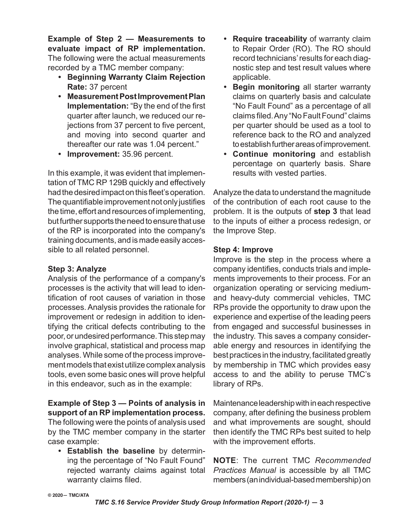**Example of Step 2 — Measurements to evaluate impact of RP implementation.**  The following were the actual measurements recorded by a TMC member company:

- **• Beginning Warranty Claim Rejection Rate:** 37 percent
- **• Measurement Post Improvement Plan Implementation:** "By the end of the first quarter after launch, we reduced our rejections from 37 percent to five percent, and moving into second quarter and thereafter our rate was 1.04 percent."
- **• Improvement:** 35.96 percent.

In this example, it was evident that implementation of TMC RP 129B quickly and effectively had the desired impact on this fleet's operation. The quantifiable improvement not only justifies the time, effort and resources of implementing, but further supports the need to ensure that use of the RP is incorporated into the company's training documents, and is made easily accessible to all related personnel.

# **Step 3: Analyze**

Analysis of the performance of a company's processes is the activity that will lead to identification of root causes of variation in those processes. Analysis provides the rationale for improvement or redesign in addition to identifying the critical defects contributing to the poor, or undesired performance. This step may involve graphical, statistical and process map analyses. While some of the process improvement models that exist utilize complex analysis tools, even some basic ones will prove helpful in this endeavor, such as in the example:

## **Example of Step 3 — Points of analysis in support of an RP implementation process.**

The following were the points of analysis used by the TMC member company in the starter case example:

**• Establish the baseline** by determining the percentage of "No Fault Found" rejected warranty claims against total warranty claims filed.

- **• Require traceability** of warranty claim to Repair Order (RO). The RO should record technicians' results for each diagnostic step and test result values where applicable.
- **• Begin monitoring** all starter warranty claims on quarterly basis and calculate "No Fault Found" as a percentage of all claims filed. Any "No Fault Found" claims per quarter should be used as a tool to reference back to the RO and analyzed to establish further areas of improvement.
- **• Continue monitoring** and establish percentage on quarterly basis. Share results with vested parties.

Analyze the data to understand the magnitude of the contribution of each root cause to the problem. It is the outputs of **step 3** that lead to the inputs of either a process redesign, or the Improve Step.

# **Step 4: Improve**

Improve is the step in the process where a company identifies, conducts trials and implements improvements to their process. For an organization operating or servicing mediumand heavy-duty commercial vehicles, TMC RPs provide the opportunity to draw upon the experience and expertise of the leading peers from engaged and successful businesses in the industry. This saves a company considerable energy and resources in identifying the best practices in the industry, facilitated greatly by membership in TMC which provides easy access to and the ability to peruse TMC's library of RPs.

Maintenance leadership with in each respective company, after defining the business problem and what improvements are sought, should then identify the TMC RPs best suited to help with the improvement efforts.

**NOTE**: The current TMC *Recommended Practices Manual* is accessible by all TMC members (an individual-based membership) on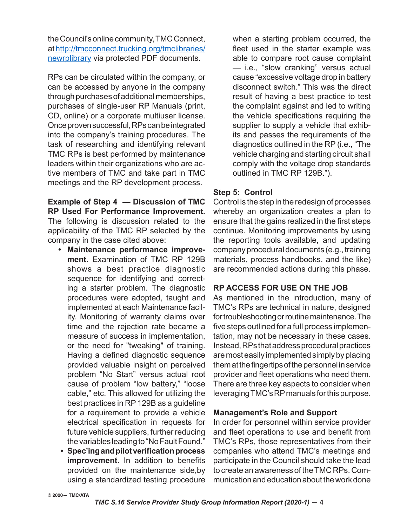the Council's online community, TMC Connect, at http://tmcconnect.trucking.org/tmclibraries/ newrplibrary via protected PDF documents.

RPs can be circulated within the company, or can be accessed by anyone in the company through purchases of additional memberships, purchases of single-user RP Manuals (print, CD, online) or a corporate multiuser license. Once proven successful, RPs can be integrated into the company's training procedures. The task of researching and identifying relevant TMC RPs is best performed by maintenance leaders within their organizations who are active members of TMC and take part in TMC meetings and the RP development process.

**Example of Step 4 — Discussion of TMC RP Used For Performance Improvement.** The following is discussion related to the applicability of the TMC RP selected by the company in the case cited above:

- **• Maintenance performance improvement.** Examination of TMC RP 129B shows a best practice diagnostic sequence for identifying and correcting a starter problem. The diagnostic procedures were adopted, taught and implemented at each Maintenance facility. Monitoring of warranty claims over time and the rejection rate became a measure of success in implementation, or the need for "tweaking" of training. Having a defined diagnostic sequence provided valuable insight on perceived problem "No Start" versus actual root cause of problem "low battery," "loose cable," etc. This allowed for utilizing the best practices in RP 129B as a guideline for a requirement to provide a vehicle electrical specification in requests for future vehicle suppliers, further reducing the variables leading to "No Fault Found."
- **• Spec'ing and pilot verification process improvement.** In addition to benefits provided on the maintenance side,by using a standardized testing procedure

when a starting problem occurred, the fleet used in the starter example was able to compare root cause complaint — i.e., "slow cranking" versus actual cause "excessive voltage drop in battery disconnect switch." This was the direct result of having a best practice to test the complaint against and led to writing the vehicle specifications requiring the supplier to supply a vehicle that exhibits and passes the requirements of the diagnostics outlined in the RP (i.e., "The vehicle charging and starting circuit shall comply with the voltage drop standards outlined in TMC RP 129B.").

## **Step 5: Control**

Control is the step in the redesign of processes whereby an organization creates a plan to ensure that the gains realized in the first steps continue. Monitoring improvements by using the reporting tools available, and updating company procedural documents (e.g., training materials, process handbooks, and the like) are recommended actions during this phase.

# **RP ACCESS FOR USE ON THE JOB**

As mentioned in the introduction, many of TMC's RPs are technical in nature, designed for troubleshooting or routine maintenance. The five steps outlined for a full process implementation, may not be necessary in these cases. Instead, RPs that address procedural practices are most easily implemented simply by placing them at the fingertips of the personnel in service provider and fleet operations who need them. There are three key aspects to consider when leveraging TMC's RP manuals for this purpose.

# **Management's Role and Support**

In order for personnel within service provider and fleet operations to use and benefit from TMC's RPs, those representatives from their companies who attend TMC's meetings and participate in the Council should take the lead to create an awareness of the TMC RPs. Communication and education about the work done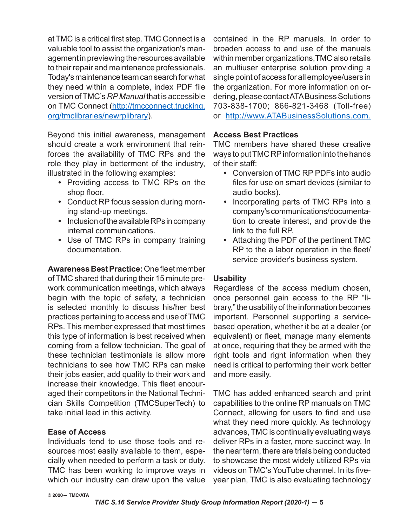at TMC is a critical first step. TMC Connect is a valuable tool to assist the organization's management in previewing the resources available to their repair and maintenance professionals. Today's maintenance team can search for what they need within a complete, index PDF file version of TMC's *RP Manual* that is accessible on TMC Connect (http://tmcconnect.trucking. org/tmclibraries/newrplibrary).

Beyond this initial awareness, management should create a work environment that reinforces the availability of TMC RPs and the role they play in betterment of the industry, illustrated in the following examples:

- **•** Providing access to TMC RPs on the shop floor.
- **•** Conduct RP focus session during morning stand-up meetings.
- **•** Inclusion of the available RPs in company internal communications.
- **•** Use of TMC RPs in company training documentation.

**Awareness Best Practice:** One fleet member of TMC shared that during their 15 minute prework communication meetings, which always begin with the topic of safety, a technician is selected monthly to discuss his/her best practices pertaining to access and use of TMC RPs. This member expressed that most times this type of information is best received when coming from a fellow technician. The goal of these technician testimonials is allow more technicians to see how TMC RPs can make their jobs easier, add quality to their work and increase their knowledge. This fleet encouraged their competitors in the National Technician Skills Competition (TMCSuperTech) to take initial lead in this activity.

#### **Ease of Access**

Individuals tend to use those tools and resources most easily available to them, especially when needed to perform a task or duty. TMC has been working to improve ways in which our industry can draw upon the value

contained in the RP manuals. In order to broaden access to and use of the manuals within member organizations,TMC also retails an multiuser enterprise solution providing a single point of access for all employee/users in the organization. For more information on ordering, please contact ATA Business Solutions 703-838-1700; 866-821-3468 (Toll-free) or http://www.ATABusinessSolutions.com.

## **Access Best Practices**

TMC members have shared these creative ways to put TMC RP information into the hands of their staff:

- **•** Conversion of TMC RP PDFs into audio files for use on smart devices (similar to audio books).
- **•** Incorporating parts of TMC RPs into a company's communications/documentation to create interest, and provide the link to the full RP.
- **•** Attaching the PDF of the pertinent TMC RP to the a labor operation in the fleet/ service provider's business system.

# **Usability**

Regardless of the access medium chosen, once personnel gain access to the RP "library," the usability of the information becomes important. Personnel supporting a servicebased operation, whether it be at a dealer (or equivalent) or fleet, manage many elements at once, requiring that they be armed with the right tools and right information when they need is critical to performing their work better and more easily.

TMC has added enhanced search and print capabilities to the online RP manuals on TMC Connect, allowing for users to find and use what they need more quickly. As technology advances, TMC is continually evaluating ways deliver RPs in a faster, more succinct way. In the near term, there are trials being conducted to showcase the most widely utilized RPs via videos on TMC's YouTube channel. In its fiveyear plan, TMC is also evaluating technology